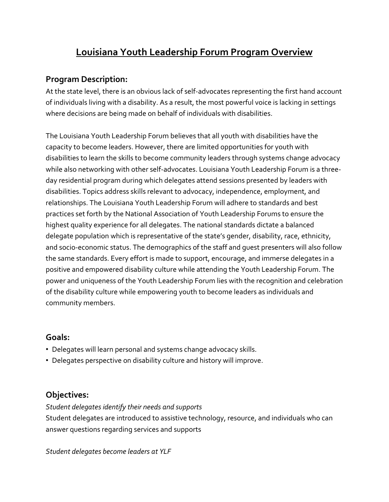# **Louisiana Youth Leadership Forum Program Overview**

## **Program Description:**

At the state level, there is an obvious lack of self-advocates representing the first hand account of individuals living with a disability. As a result, the most powerful voice is lacking in settings where decisions are being made on behalf of individuals with disabilities.

The Louisiana Youth Leadership Forum believes that all youth with disabilities have the capacity to become leaders. However, there are limited opportunities for youth with disabilities to learn the skills to become community leaders through systems change advocacy while also networking with other self-advocates. Louisiana Youth Leadership Forum is a threeday residential program during which delegates attend sessions presented by leaders with disabilities. Topics address skills relevant to advocacy, independence, employment, and relationships. The Louisiana Youth Leadership Forum will adhere to standards and best practices set forth by the National Association of Youth Leadership Forums to ensure the highest quality experience for all delegates. The national standards dictate a balanced delegate population which is representative of the state's gender, disability, race, ethnicity, and socio-economic status. The demographics of the staff and guest presenters will also follow the same standards. Every effort is made to support, encourage, and immerse delegates in a positive and empowered disability culture while attending the Youth Leadership Forum. The power and uniqueness of the Youth Leadership Forum lies with the recognition and celebration of the disability culture while empowering youth to become leaders as individuals and community members.

### **Goals:**

- Delegates will learn personal and systems change advocacy skills.
- Delegates perspective on disability culture and history will improve.

### **Objectives:**

*Student delegates identify their needs and supports*

Student delegates are introduced to assistive technology, resource, and individuals who can answer questions regarding services and supports

*Student delegates become leaders at YLF*